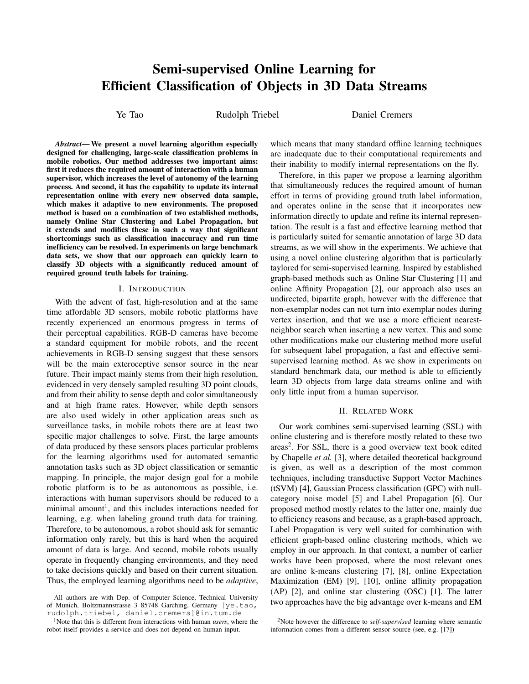# Semi-supervised Online Learning for Efficient Classification of Objects in 3D Data Streams

Ye Tao Rudolph Triebel Daniel Cremers

*Abstract*— We present a novel learning algorithm especially designed for challenging, large-scale classification problems in mobile robotics. Our method addresses two important aims: first it reduces the required amount of interaction with a human supervisor, which increases the level of autonomy of the learning process. And second, it has the capability to update its internal representation online with every new observed data sample, which makes it adaptive to new environments. The proposed method is based on a combination of two established methods, namely Online Star Clustering and Label Propagation, but it extends and modifies these in such a way that significant shortcomings such as classification inaccuracy and run time inefficiency can be resolved. In experiments on large benchmark data sets, we show that our approach can quickly learn to classify 3D objects with a significantly reduced amount of required ground truth labels for training.

#### I. INTRODUCTION

With the advent of fast, high-resolution and at the same time affordable 3D sensors, mobile robotic platforms have recently experienced an enormous progress in terms of their perceptual capabilities. RGB-D cameras have become a standard equipment for mobile robots, and the recent achievements in RGB-D sensing suggest that these sensors will be the main exteroceptive sensor source in the near future. Their impact mainly stems from their high resolution, evidenced in very densely sampled resulting 3D point clouds, and from their ability to sense depth and color simultaneously and at high frame rates. However, while depth sensors are also used widely in other application areas such as surveillance tasks, in mobile robots there are at least two specific major challenges to solve. First, the large amounts of data produced by these sensors places particular problems for the learning algorithms used for automated semantic annotation tasks such as 3D object classification or semantic mapping. In principle, the major design goal for a mobile robotic platform is to be as autonomous as possible, i.e. interactions with human supervisors should be reduced to a minimal amount<sup>1</sup>, and this includes interactions needed for learning, e.g. when labeling ground truth data for training. Therefore, to be autonomous, a robot should ask for semantic information only rarely, but this is hard when the acquired amount of data is large. And second, mobile robots usually operate in frequently changing environments, and they need to take decisions quickly and based on their current situation. Thus, the employed learning algorithms need to be *adaptive*,

which means that many standard offline learning techniques are inadequate due to their computational requirements and their inability to modify internal representations on the fly.

Therefore, in this paper we propose a learning algorithm that simultaneously reduces the required amount of human effort in terms of providing ground truth label information, and operates online in the sense that it incorporates new information directly to update and refine its internal representation. The result is a fast and effective learning method that is particularly suited for semantic annotation of large 3D data streams, as we will show in the experiments. We achieve that using a novel online clustering algorithm that is particularly taylored for semi-supervised learning. Inspired by established graph-based methods such as Online Star Clustering [1] and online Affinity Propagation [2], our approach also uses an undirected, bipartite graph, however with the difference that non-exemplar nodes can not turn into exemplar nodes during vertex insertion, and that we use a more efficient nearestneighbor search when inserting a new vertex. This and some other modifications make our clustering method more useful for subsequent label propagation, a fast and effective semisupervised learning method. As we show in experiments on standard benchmark data, our method is able to efficiently learn 3D objects from large data streams online and with only little input from a human supervisor.

#### II. RELATED WORK

Our work combines semi-supervised learning (SSL) with online clustering and is therefore mostly related to these two areas<sup>2</sup>. For SSL, there is a good overview text book edited by Chapelle *et al.* [3], where detailed theoretical background is given, as well as a description of the most common techniques, including transductive Support Vector Machines (tSVM) [4], Gaussian Process classification (GPC) with nullcategory noise model [5] and Label Propagation [6]. Our proposed method mostly relates to the latter one, mainly due to efficiency reasons and because, as a graph-based approach, Label Propagation is very well suited for combination with efficient graph-based online clustering methods, which we employ in our approach. In that context, a number of earlier works have been proposed, where the most relevant ones are online k-means clustering [7], [8], online Expectation Maximization (EM) [9], [10], online affinity propagation (AP) [2], and online star clustering (OSC) [1]. The latter two approaches have the big advantage over k-means and EM

All authors are with Dep. of Computer Science, Technical University of Munich, Boltzmannstrasse 3 85748 Garching, Germany [ye.tao, rudolph.triebel, daniel.cremers]@in.tum.de

<sup>1</sup>Note that this is different from interactions with human *users*, where the robot itself provides a service and does not depend on human input.

<sup>2</sup>Note however the difference to *self-supervised* learning where semantic information comes from a different sensor source (see, e.g. [17])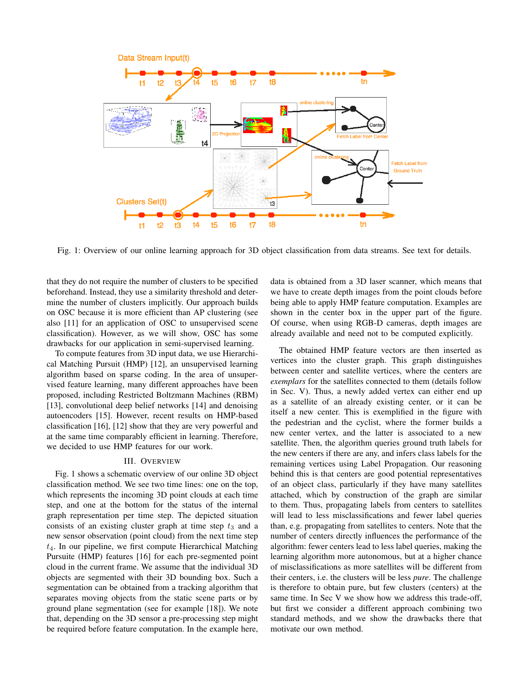

Fig. 1: Overview of our online learning approach for 3D object classification from data streams. See text for details.

that they do not require the number of clusters to be specified beforehand. Instead, they use a similarity threshold and determine the number of clusters implicitly. Our approach builds on OSC because it is more efficient than AP clustering (see also [11] for an application of OSC to unsupervised scene classification). However, as we will show, OSC has some drawbacks for our application in semi-supervised learning.

To compute features from 3D input data, we use Hierarchical Matching Pursuit (HMP) [12], an unsupervised learning algorithm based on sparse coding. In the area of unsupervised feature learning, many different approaches have been proposed, including Restricted Boltzmann Machines (RBM) [13], convolutional deep belief networks [14] and denoising autoencoders [15]. However, recent results on HMP-based classification [16], [12] show that they are very powerful and at the same time comparably efficient in learning. Therefore, we decided to use HMP features for our work.

#### III. OVERVIEW

Fig. 1 shows a schematic overview of our online 3D object classification method. We see two time lines: one on the top, which represents the incoming 3D point clouds at each time step, and one at the bottom for the status of the internal graph representation per time step. The depicted situation consists of an existing cluster graph at time step  $t_3$  and a new sensor observation (point cloud) from the next time step  $t_4$ . In our pipeline, we first compute Hierarchical Matching Pursuite (HMP) features [16] for each pre-segmented point cloud in the current frame. We assume that the individual 3D objects are segmented with their 3D bounding box. Such a segmentation can be obtained from a tracking algorithm that separates moving objects from the static scene parts or by ground plane segmentation (see for example [18]). We note that, depending on the 3D sensor a pre-processing step might be required before feature computation. In the example here,

data is obtained from a 3D laser scanner, which means that we have to create depth images from the point clouds before being able to apply HMP feature computation. Examples are shown in the center box in the upper part of the figure. Of course, when using RGB-D cameras, depth images are already available and need not to be computed explicitly.

The obtained HMP feature vectors are then inserted as vertices into the cluster graph. This graph distinguishes between center and satellite vertices, where the centers are *exemplars* for the satellites connected to them (details follow in Sec. V). Thus, a newly added vertex can either end up as a satellite of an already existing center, or it can be itself a new center. This is exemplified in the figure with the pedestrian and the cyclist, where the former builds a new center vertex, and the latter is associated to a new satellite. Then, the algorithm queries ground truth labels for the new centers if there are any, and infers class labels for the remaining vertices using Label Propagation. Our reasoning behind this is that centers are good potential representatives of an object class, particularly if they have many satellites attached, which by construction of the graph are similar to them. Thus, propagating labels from centers to satellites will lead to less misclassifications and fewer label queries than, e.g. propagating from satellites to centers. Note that the number of centers directly influences the performance of the algorithm: fewer centers lead to less label queries, making the learning algorithm more autonomous, but at a higher chance of misclassifications as more satellites will be different from their centers, i.e. the clusters will be less *pure*. The challenge is therefore to obtain pure, but few clusters (centers) at the same time. In Sec V we show how we address this trade-off, but first we consider a different approach combining two standard methods, and we show the drawbacks there that motivate our own method.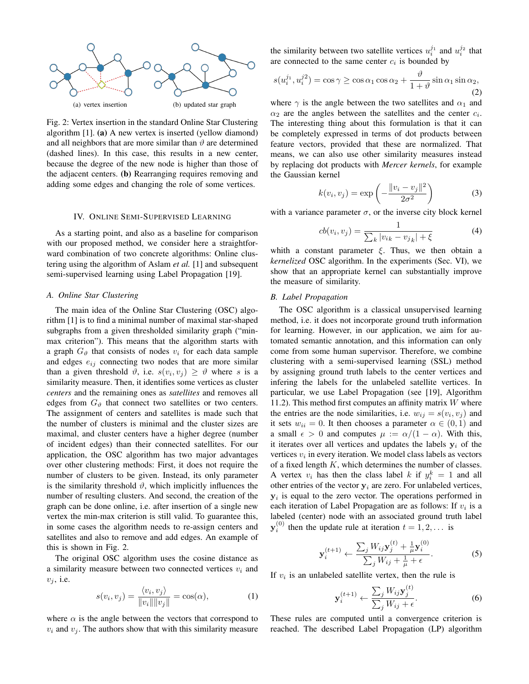

Fig. 2: Vertex insertion in the standard Online Star Clustering algorithm [1]. (a) A new vertex is inserted (yellow diamond) and all neighbors that are more similar than  $\vartheta$  are determined (dashed lines). In this case, this results in a new center, because the degree of the new node is higher than those of the adjacent centers. (b) Rearranging requires removing and adding some edges and changing the role of some vertices.

#### IV. ONLINE SEMI-SUPERVISED LEARNING

As a starting point, and also as a baseline for comparison with our proposed method, we consider here a straightforward combination of two concrete algorithms: Online clustering using the algorithm of Aslam *et al.* [1] and subsequent semi-supervised learning using Label Propagation [19].

#### *A. Online Star Clustering*

The main idea of the Online Star Clustering (OSC) algorithm [1] is to find a minimal number of maximal star-shaped subgraphs from a given thresholded similarity graph ("minmax criterion"). This means that the algorithm starts with a graph  $G_{\vartheta}$  that consists of nodes  $v_i$  for each data sample and edges  $e_{ij}$  connecting two nodes that are more similar than a given threshold  $\vartheta$ , i.e.  $s(v_i, v_j) \geq \vartheta$  where s is a similarity measure. Then, it identifies some vertices as cluster *centers* and the remaining ones as *satellites* and removes all edges from  $G_{\vartheta}$  that connect two satellites or two centers. The assignment of centers and satellites is made such that the number of clusters is minimal and the cluster sizes are maximal, and cluster centers have a higher degree (number of incident edges) than their connected satellites. For our application, the OSC algorithm has two major advantages over other clustering methods: First, it does not require the number of clusters to be given. Instead, its only parameter is the similarity threshold  $\vartheta$ , which implicitly influences the number of resulting clusters. And second, the creation of the graph can be done online, i.e. after insertion of a single new vertex the min-max criterion is still valid. To guarantee this, in some cases the algorithm needs to re-assign centers and satellites and also to remove and add edges. An example of this is shown in Fig. 2.

The original OSC algorithm uses the cosine distance as a similarity measure between two connected vertices  $v_i$  and  $v_i$ , i.e.

$$
s(v_i, v_j) = \frac{\langle v_i, v_j \rangle}{\|v_i\| \|v_j\|} = \cos(\alpha), \tag{1}
$$

where  $\alpha$  is the angle between the vectors that correspond to  $v_i$  and  $v_j$ . The authors show that with this similarity measure the similarity between two satellite vertices  $u_i^{j_1}$  and  $u_i^{j_2}$  that are connected to the same center  $c_i$  is bounded by

$$
s(u_i^{j_1}, u_i^{j_2}) = \cos \gamma \ge \cos \alpha_1 \cos \alpha_2 + \frac{\vartheta}{1+\vartheta} \sin \alpha_1 \sin \alpha_2,
$$
  
(2)

where  $\gamma$  is the angle between the two satellites and  $\alpha_1$  and  $\alpha_2$  are the angles between the satellites and the center  $c_i$ . The interesting thing about this formulation is that it can be completely expressed in terms of dot products between feature vectors, provided that these are normalized. That means, we can also use other similarity measures instead by replacing dot products with *Mercer kernels*, for example the Gaussian kernel

$$
k(v_i, v_j) = \exp\left(-\frac{\|v_i - v_j\|^2}{2\sigma^2}\right) \tag{3}
$$

with a variance parameter  $\sigma$ , or the inverse city block kernel

$$
cb(v_i, v_j) = \frac{1}{\sum_{k} |v_{ik} - v_{jk}| + \xi}
$$
 (4)

whith a constant parameter  $\xi$ . Thus, we then obtain a *kernelized* OSC algorithm. In the experiments (Sec. VI), we show that an appropriate kernel can substantially improve the measure of similarity.

#### *B. Label Propagation*

The OSC algorithm is a classical unsupervised learning method, i.e. it does not incorporate ground truth information for learning. However, in our application, we aim for automated semantic annotation, and this information can only come from some human supervisor. Therefore, we combine clustering with a semi-supervised learning (SSL) method by assigning ground truth labels to the center vertices and infering the labels for the unlabeled satellite vertices. In particular, we use Label Propagation (see [19], Algorithm 11.2). This method first computes an affinity matrix  $W$  where the entries are the node similarities, i.e.  $w_{ij} = s(v_i, v_j)$  and it sets  $w_{ii} = 0$ . It then chooses a parameter  $\alpha \in (0,1)$  and a small  $\epsilon > 0$  and computes  $\mu := \alpha/(1 - \alpha)$ . With this, it iterates over all vertices and updates the labels  $y_i$  of the vertices  $v_i$  in every iteration. We model class labels as vectors of a fixed length  $K$ , which determines the number of classes. A vertex  $v_i$  has then the class label k if  $y_i^k = 1$  and all other entries of the vector  $y_i$  are zero. For unlabeled vertices,  $y_i$  is equal to the zero vector. The operations performed in each iteration of Label Propagation are as follows: If  $v_i$  is a labeled (center) node with an associated ground truth label  $y_i^{(0)}$  then the update rule at iteration  $t = 1, 2, \dots$  is

$$
\mathbf{y}_i^{(t+1)} \leftarrow \frac{\sum_j W_{ij} \mathbf{y}_j^{(t)} + \frac{1}{\mu} \mathbf{y}_i^{(0)}}{\sum_j W_{ij} + \frac{1}{\mu} + \epsilon}.
$$
 (5)

If  $v_i$  is an unlabeled satellite vertex, then the rule is

$$
\mathbf{y}_i^{(t+1)} \leftarrow \frac{\sum_j W_{ij} \mathbf{y}_j^{(t)}}{\sum_j W_{ij} + \epsilon}.
$$
 (6)

These rules are computed until a convergence criterion is reached. The described Label Propagation (LP) algorithm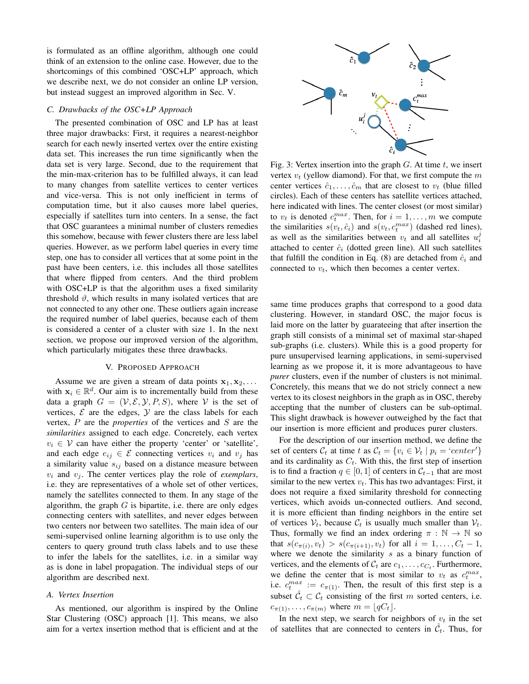is formulated as an offline algorithm, although one could think of an extension to the online case. However, due to the shortcomings of this combined 'OSC+LP' approach, which we describe next, we do not consider an online LP version, but instead suggest an improved algorithm in Sec. V.

# *C. Drawbacks of the OSC+LP Approach*

The presented combination of OSC and LP has at least three major drawbacks: First, it requires a nearest-neighbor search for each newly inserted vertex over the entire existing data set. This increases the run time significantly when the data set is very large. Second, due to the requirement that the min-max-criterion has to be fulfilled always, it can lead to many changes from satellite vertices to center vertices and vice-versa. This is not only inefficient in terms of computation time, but it also causes more label queries, especially if satellites turn into centers. In a sense, the fact that OSC guarantees a minimal number of clusters remedies this somehow, because with fewer clusters there are less label queries. However, as we perform label queries in every time step, one has to consider all vertices that at some point in the past have been centers, i.e. this includes all those satellites that where flipped from centers. And the third problem with OSC+LP is that the algorithm uses a fixed similarity threshold  $\vartheta$ , which results in many isolated vertices that are not connected to any other one. These outliers again increase the required number of label queries, because each of them is considered a center of a cluster with size 1. In the next section, we propose our improved version of the algorithm, which particularly mitigates these three drawbacks.

#### V. PROPOSED APPROACH

Assume we are given a stream of data points  $x_1, x_2, \ldots$ with  $x_i \in \mathbb{R}^d$ . Our aim is to incrementally build from these data a graph  $G = (\mathcal{V}, \mathcal{E}, \mathcal{Y}, P, S)$ , where V is the set of vertices,  $\mathcal E$  are the edges,  $\mathcal Y$  are the class labels for each vertex, P are the *properties* of the vertices and S are the *similarities* assigned to each edge. Concretely, each vertex  $v_i \in V$  can have either the property 'center' or 'satellite', and each edge  $e_{ij} \in \mathcal{E}$  connecting vertices  $v_i$  and  $v_j$  has a similarity value  $s_{ij}$  based on a distance measure between  $v_i$  and  $v_j$ . The center vertices play the role of *exemplars*, i.e. they are representatives of a whole set of other vertices, namely the satellites connected to them. In any stage of the algorithm, the graph  $G$  is bipartite, i.e. there are only edges connecting centers with satellites, and never edges between two centers nor between two satellites. The main idea of our semi-supervised online learning algorithm is to use only the centers to query ground truth class labels and to use these to infer the labels for the satellites, i.e. in a similar way as is done in label propagation. The individual steps of our algorithm are described next.

#### *A. Vertex Insertion*

As mentioned, our algorithm is inspired by the Online Star Clustering (OSC) approach [1]. This means, we also aim for a vertex insertion method that is efficient and at the



Fig. 3: Vertex insertion into the graph  $G$ . At time  $t$ , we insert vertex  $v_t$  (yellow diamond). For that, we first compute the m center vertices  $\hat{c}_1, \ldots, \hat{c}_m$  that are closest to  $v_t$  (blue filled circles). Each of these centers has satellite vertices attached, here indicated with lines. The center closest (or most similar) to  $v_t$  is denoted  $c_t^{max}$ . Then, for  $i = 1, \ldots, m$  we compute the similarities  $s(v_t, \hat{c}_i)$  and  $s(v_t, c_t^{max})$  (dashed red lines), as well as the similarities between  $v_t$  and all satellites  $u_i^j$ attached to center  $\hat{c}_i$  (dotted green line). All such satellites that fulfill the condition in Eq. (8) are detached from  $\hat{c}_i$  and connected to  $v_t$ , which then becomes a center vertex.

same time produces graphs that correspond to a good data clustering. However, in standard OSC, the major focus is laid more on the latter by guarateeing that after insertion the graph still consists of a minimal set of maximal star-shaped sub-graphs (i.e. clusters). While this is a good property for pure unsupervised learning applications, in semi-supervised learning as we propose it, it is more advantageous to have *purer* clusters, even if the number of clusters is not minimal. Concretely, this means that we do not stricly connect a new vertex to its closest neighbors in the graph as in OSC, thereby accepting that the number of clusters can be sub-optimal. This slight drawback is however outweighed by the fact that our insertion is more efficient and produces purer clusters.

For the description of our insertion method, we define the set of centers  $C_t$  at time t as  $C_t = \{v_i \in V_t | p_i = 'center'\}$ and its cardinality as  $C_t$ . With this, the first step of insertion is to find a fraction  $q \in [0, 1]$  of centers in  $\mathcal{C}_{t-1}$  that are most similar to the new vertex  $v_t$ . This has two advantages: First, it does not require a fixed similarity threshold for connecting vertices, which avoids un-connected outliers. And second, it is more efficient than finding neighbors in the entire set of vertices  $V_t$ , because  $C_t$  is usually much smaller than  $V_t$ . Thus, formally we find an index ordering  $\pi : \mathbb{N} \to \mathbb{N}$  so that  $s(c_{\pi(i)}, v_t) > s(c_{\pi(i+1)}, v_t)$  for all  $i = 1, ..., C_t - 1$ , where we denote the similarity  $s$  as a binary function of vertices, and the elements of  $C_t$  are  $c_1, \ldots, c_{C_t}$ . Furthermore, we define the center that is most similar to  $v_t$  as  $c_t^{max}$ , i.e.  $c_t^{max} := c_{\pi(1)}$ . Then, the result of this first step is a subset  $\hat{\mathcal{C}}_t \subset \mathcal{C}_t$  consisting of the first m sorted centers, i.e.  $c_{\pi(1)}, \ldots, c_{\pi(m)}$  where  $m = \lfloor qC_t \rfloor$ .

In the next step, we search for neighbors of  $v_t$  in the set of satellites that are connected to centers in  $\hat{C}_t$ . Thus, for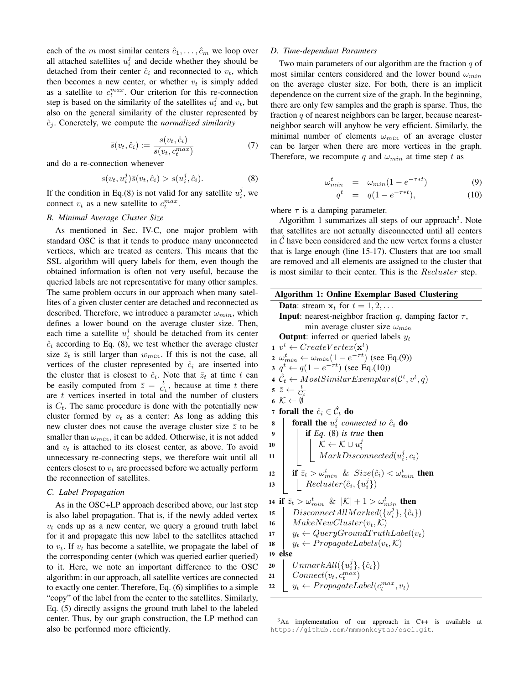each of the m most similar centers  $\hat{c}_1, \ldots, \hat{c}_m$  we loop over all attached satellites  $u_i^j$  and decide whether they should be detached from their center  $\hat{c}_i$  and reconnected to  $v_t$ , which then becomes a new center, or whether  $v_t$  is simply added as a satellite to  $c_t^{max}$ . Our criterion for this re-connection step is based on the similarity of the satellites  $u_i^j$  and  $v_t$ , but also on the general similarity of the cluster represented by  $\hat{c}_j$ . Concretely, we compute the *normalized similarity* 

$$
\bar{s}(v_t, \hat{c}_i) := \frac{s(v_t, \hat{c}_i)}{s(v_t, c_t^{max})}
$$
(7)

and do a re-connection whenever

$$
s(v_t, u_i^j)\bar{s}(v_t, \hat{c}_i) > s(u_i^j, \hat{c}_i). \tag{8}
$$

If the condition in Eq.(8) is not valid for any satellite  $u_i^j$ , we connect  $v_t$  as a new satellite to  $c_t^{max}$ .

## *B. Minimal Average Cluster Size*

As mentioned in Sec. IV-C, one major problem with standard OSC is that it tends to produce many unconnected vertices, which are treated as centers. This means that the SSL algorithm will query labels for them, even though the obtained information is often not very useful, because the queried labels are not representative for many other samples. The same problem occurs in our approach when many satellites of a given cluster center are detached and reconnected as described. Therefore, we introduce a parameter  $\omega_{min}$ , which defines a lower bound on the average cluster size. Then, each time a satellite  $u_i^j$  should be detached from its center  $\hat{c}_i$  according to Eq. (8), we test whether the average cluster size  $\bar{z}_t$  is still larger than  $w_{min}$ . If this is not the case, all vertices of the cluster represented by  $\hat{c}_i$  are inserted into the cluster that is closest to  $\hat{c}_i$ . Note that  $\bar{z}_t$  at time t can be easily computed from  $\bar{z} = \frac{t}{C_t}$ , because at time t there are t vertices inserted in total and the number of clusters is  $C_t$ . The same procedure is done with the potentially new cluster formed by  $v_t$  as a center: As long as adding this new cluster does not cause the average cluster size  $\bar{z}$  to be smaller than  $\omega_{min}$ , it can be added. Otherwise, it is not added and  $v_t$  is attached to its closest center, as above. To avoid unnecessary re-connecting steps, we therefore wait until all centers closest to  $v_t$  are processed before we actually perform the reconnection of satellites.

### *C. Label Propagation*

As in the OSC+LP approach described above, our last step is also label propagation. That is, if the newly added vertex  $v_t$  ends up as a new center, we query a ground truth label for it and propagate this new label to the satellites attached to  $v_t$ . If  $v_t$  has become a satellite, we propagate the label of the corresponding center (which was queried earlier queried) to it. Here, we note an important difference to the OSC algorithm: in our approach, all satellite vertices are connected to exactly one center. Therefore, Eq. (6) simplifies to a simple "copy" of the label from the center to the satellites. Similarly, Eq. (5) directly assigns the ground truth label to the labeled center. Thus, by our graph construction, the LP method can also be performed more efficiently.

# *D. Time-dependant Paramters*

Two main parameters of our algorithm are the fraction  $q$  of most similar centers considered and the lower bound  $\omega_{min}$ on the average cluster size. For both, there is an implicit dependence on the current size of the graph. In the beginning, there are only few samples and the graph is sparse. Thus, the fraction  $q$  of nearest neighbors can be larger, because nearestneighbor search will anyhow be very efficient. Similarly, the minimal number of elements  $\omega_{min}$  of an average cluster can be larger when there are more vertices in the graph. Therefore, we recompute q and  $\omega_{min}$  at time step t as

$$
\omega_{min}^t = \omega_{min}(1 - e^{-\tau * t}) \tag{9}
$$

$$
q^t = q(1 - e^{-\tau * t}), \tag{10}
$$

where  $\tau$  is a damping parameter.

Algorithm 1 summarizes all steps of our approach<sup>3</sup>. Note that satellites are not actually disconnected until all centers in  $\hat{C}$  have been considered and the new vertex forms a cluster that is large enough (line 15-17). Clusters that are too small are removed and all elements are assigned to the cluster that is most similar to their center. This is the Recluster step.

|                | Algorithm 1: Online Exemplar Based Clustering                                                                                        |
|----------------|--------------------------------------------------------------------------------------------------------------------------------------|
|                | <b>Data:</b> stream $x_t$ for $t = 1, 2, $                                                                                           |
|                | <b>Input</b> : nearest-neighbor fraction q, damping factor $\tau$ ,                                                                  |
|                | min average cluster size $\omega_{min}$                                                                                              |
|                | <b>Output:</b> inferred or queried labels $y_t$                                                                                      |
|                | $1 \ v^t \leftarrow CreateVertex(\mathbf{x}^t)$                                                                                      |
|                | 2 $\omega_{min}^t \leftarrow \omega_{min}(1 - e^{-\tau t})$ (see Eq.(9))                                                             |
|                | 3 $q^t \leftarrow q(1 - e^{-\tau t})$ (see Eq.(10))                                                                                  |
|                | 4 $\hat{\mathcal{C}}_t \leftarrow MostSimilar Exemplars(\mathcal{C}^t, v^t, q)$                                                      |
|                | $5\ \bar{z}\leftarrow \frac{t}{C}$                                                                                                   |
|                | 6 $K \leftarrow \emptyset$                                                                                                           |
| $\overline{7}$ | forall the $\hat{c}_i \in \hat{\mathcal{C}}_t$ do                                                                                    |
| 8              | <b>forall the</b> $u_i^j$ connected to $\hat{c}_i$ <b>do</b>                                                                         |
| 9              | if $Eq. (8)$ is true then                                                                                                            |
| 10             |                                                                                                                                      |
| 11             | $\begin{array}{ l } \hline \mathcal{K} \leftarrow \mathcal{K} \cup u_i^j \ \mathit{MarkDisconnected}(u_i^j, c_i) \hline \end{array}$ |
| 12             | if $\bar{z}_t > \omega_{min}^t$ & $Size(\hat{c}_i) < \omega_{min}^t$ then                                                            |
| 13             | $\left\{ \quad \text{Recluster}(\hat{c}_i, \{u_i^j\}) \right\}$                                                                      |
|                |                                                                                                                                      |
|                | 14 if $\bar{z}_t > \omega_{min}^t$ & $ \mathcal{K}  + 1 > \omega_{min}^t$ then                                                       |
| 15             | $DisconnectAllMarked({u_i^j}, {\hat{c}_i})$                                                                                          |
| 16             | $MakeNewCluster(v_t, K)$                                                                                                             |
| 17             | $y_t \leftarrow QueryGround TruthLabel(v_t)$                                                                                         |
| 18             | $y_t \leftarrow PropagateLabels(v_t, K)$                                                                                             |
| 19             | else                                                                                                                                 |
| 20             | $UnmarkAll({u_i^j}, {\hat{c}_i})$                                                                                                    |
| 21             | $Connect(v_t, c_t^{max})$                                                                                                            |
| 22             | $y_t \leftarrow PropagateLabel(c_t^{max}, v_t)$                                                                                      |
|                |                                                                                                                                      |

<sup>&</sup>lt;sup>3</sup>An implementation of our approach in C++ is available at https://github.com/mmmonkeytao/oscl.git.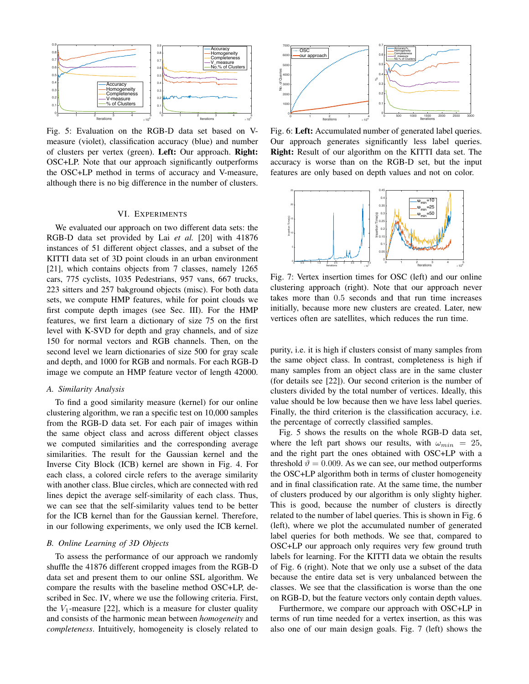

Fig. 5: Evaluation on the RGB-D data set based on Vmeasure (violet), classification accuracy (blue) and number of clusters per vertex (green). Left: Our approach. Right: OSC+LP. Note that our approach significantly outperforms the OSC+LP method in terms of accuracy and V-measure, although there is no big difference in the number of clusters.

#### VI. EXPERIMENTS

We evaluated our approach on two different data sets: the RGB-D data set provided by Lai *et al.* [20] with 41876 instances of 51 different object classes, and a subset of the KITTI data set of 3D point clouds in an urban environment [21], which contains objects from 7 classes, namely 1265 cars, 775 cyclists, 1035 Pedestrians, 957 vans, 667 trucks, 223 sitters and 257 bakground objects (misc). For both data sets, we compute HMP features, while for point clouds we first compute depth images (see Sec. III). For the HMP features, we first learn a dictionary of size 75 on the first level with K-SVD for depth and gray channels, and of size 150 for normal vectors and RGB channels. Then, on the second level we learn dictionaries of size 500 for gray scale and depth, and 1000 for RGB and normals. For each RGB-D image we compute an HMP feature vector of length 42000.

## *A. Similarity Analysis*

To find a good similarity measure (kernel) for our online clustering algorithm, we ran a specific test on 10,000 samples from the RGB-D data set. For each pair of images within the same object class and across different object classes we computed similarities and the corresponding average similarities. The result for the Gaussian kernel and the Inverse City Block (ICB) kernel are shown in Fig. 4. For each class, a colored circle refers to the average similarity with another class. Blue circles, which are connected with red lines depict the average self-similarity of each class. Thus, we can see that the self-similarity values tend to be better for the ICB kernel than for the Gaussian kernel. Therefore, in our following experiments, we only used the ICB kernel.

## *B. Online Learning of 3D Objects*

To assess the performance of our approach we randomly shuffle the 41876 different cropped images from the RGB-D data set and present them to our online SSL algorithm. We compare the results with the baseline method OSC+LP, described in Sec. IV, where we use the following criteria. First, the  $V_1$ -measure [22], which is a measure for cluster quality and consists of the harmonic mean between *homogeneity* and *completeness*. Intuitively, homogeneity is closely related to



Fig. 6: Left: Accumulated number of generated label queries. Our approach generates significantly less label queries. Right: Result of our algorithm on the KITTI data set. The accuracy is worse than on the RGB-D set, but the input features are only based on depth values and not on color.



Fig. 7: Vertex insertion times for OSC (left) and our online clustering approach (right). Note that our approach never takes more than 0.5 seconds and that run time increases initially, because more new clusters are created. Later, new vertices often are satellites, which reduces the run time.

purity, i.e. it is high if clusters consist of many samples from the same object class. In contrast, completeness is high if many samples from an object class are in the same cluster (for details see [22]). Our second criterion is the number of clusters divided by the total number of vertices. Ideally, this value should be low because then we have less label queries. Finally, the third criterion is the classification accuracy, i.e. the percentage of correctly classified samples.

Fig. 5 shows the results on the whole RGB-D data set, where the left part shows our results, with  $\omega_{min} = 25$ , and the right part the ones obtained with OSC+LP with a threshold  $\vartheta = 0.009$ . As we can see, our method outperforms the OSC+LP algorithm both in terms of cluster homogeneity and in final classification rate. At the same time, the number of clusters produced by our algorithm is only slighty higher. This is good, because the number of clusters is directly related to the number of label queries. This is shown in Fig. 6 (left), where we plot the accumulated number of generated label queries for both methods. We see that, compared to OSC+LP our approach only requires very few ground truth labels for learning. For the KITTI data we obtain the results of Fig. 6 (right). Note that we only use a subset of the data because the entire data set is very unbalanced between the classes. We see that the classification is worse than the one on RGB-D, but the feature vectors only contain depth values.

Furthermore, we compare our approach with OSC+LP in terms of run time needed for a vertex insertion, as this was also one of our main design goals. Fig. 7 (left) shows the